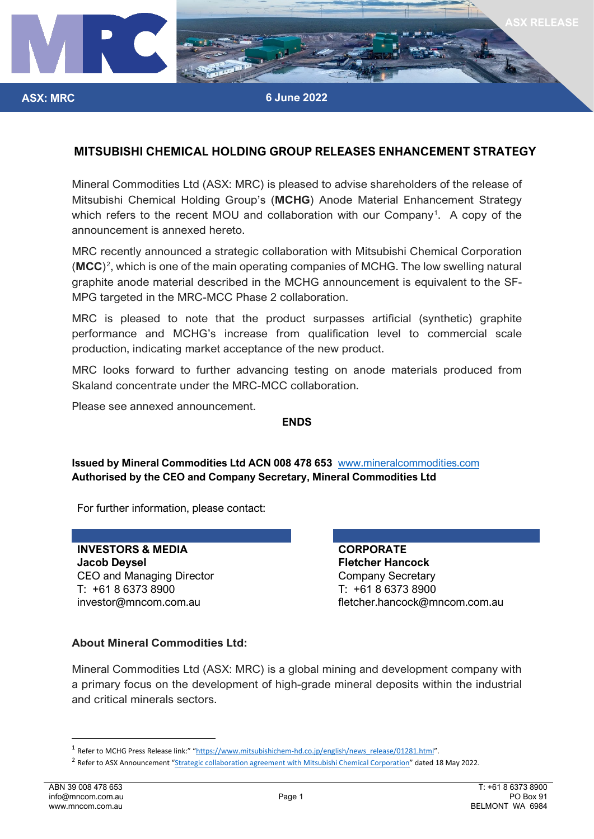

**6 June 2022**

#### **MITSUBISHI CHEMICAL HOLDING GROUP RELEASES ENHANCEMENT STRATEGY**

Mineral Commodities Ltd (ASX: MRC) is pleased to advise shareholders of the release of Mitsubishi Chemical Holding Group's (**MCHG**) Anode Material Enhancement Strategy which refers to the recent MOU and collaboration with our Company<sup>[1](#page-0-0)</sup>. A copy of the announcement is annexed hereto.

MRC recently announced a strategic collaboration with Mitsubishi Chemical Corporation (MCC)<sup>[2](#page-0-1)</sup>, which is one of the main operating companies of MCHG. The low swelling natural graphite anode material described in the MCHG announcement is equivalent to the SF-MPG targeted in the MRC-MCC Phase 2 collaboration.

MRC is pleased to note that the product surpasses artificial (synthetic) graphite performance and MCHG's increase from qualification level to commercial scale production, indicating market acceptance of the new product.

MRC looks forward to further advancing testing on anode materials produced from Skaland concentrate under the MRC-MCC collaboration.

Please see annexed announcement.

**ASX: MRC**

#### **ENDS**

**Issued by Mineral Commodities Ltd ACN 008 478 653** [www.mineralcommodities.com](http://www.mineralcommodities.com/) **Authorised by the CEO and Company Secretary, Mineral Commodities Ltd**

For further information, please contact:

**INVESTORS & MEDIA CORPORATE Jacob Deysel Fletcher Hancock** CEO and Managing Director Company Secretary T: +61 8 6373 8900 T: +61 8 6373 8900

investor@mncom.com.au fletcher.hancock@mncom.com.au

#### **About Mineral Commodities Ltd:**

Mineral Commodities Ltd (ASX: MRC) is a global mining and development company with a primary focus on the development of high-grade mineral deposits within the industrial and critical minerals sectors.

<span id="page-0-0"></span><sup>&</sup>lt;sup>1</sup> Refer to MCHG Press Release link:" ["https://www.mitsubishichem-hd.co.jp/english/news\\_release/01281.html"](https://www.mitsubishichem-hd.co.jp/english/news_release/01281.html).

<span id="page-0-1"></span><sup>&</sup>lt;sup>2</sup> Refer to ASX Announcement ["Strategic collaboration agreement with Mitsubishi Chemical Corporation"](https://www.mineralcommodities.com/wp-content/uploads/2022/05/20220518-MRC-EXE-ASX-2022-0001_0-MOU-with-Mitsubishi-Chemical-Corporation.pdf) dated 18 May 2022.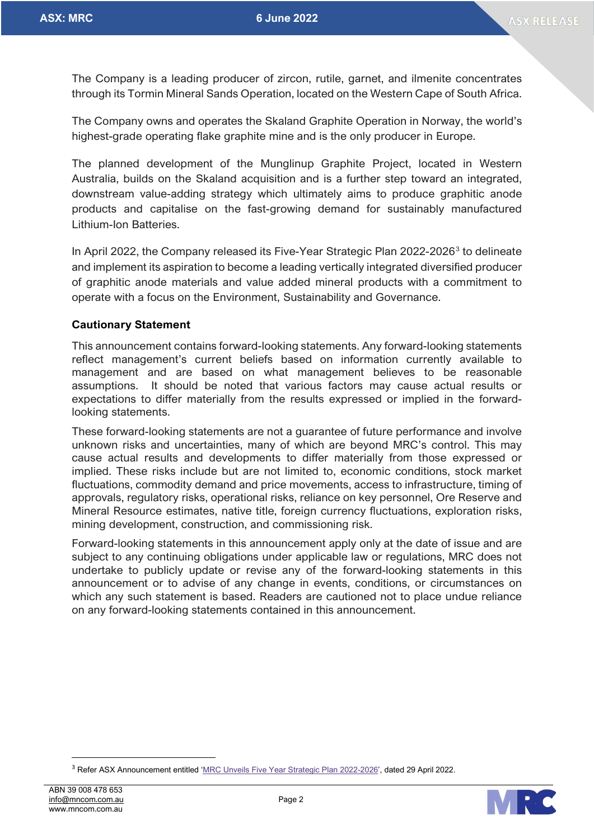The Company is a leading producer of zircon, rutile, garnet, and ilmenite concentrates through its Tormin Mineral Sands Operation, located on the Western Cape of South Africa.

The Company owns and operates the Skaland Graphite Operation in Norway, the world's highest-grade operating flake graphite mine and is the only producer in Europe.

The planned development of the Munglinup Graphite Project, located in Western Australia, builds on the Skaland acquisition and is a further step toward an integrated, downstream value-adding strategy which ultimately aims to produce graphitic anode products and capitalise on the fast-growing demand for sustainably manufactured Lithium-Ion Batteries.

In April 2022, the Company released its Five-Year Strategic Plan 2022-2026<sup>[3](#page-1-0)</sup> to delineate and implement its aspiration to become a leading vertically integrated diversified producer of graphitic anode materials and value added mineral products with a commitment to operate with a focus on the Environment, Sustainability and Governance.

#### **Cautionary Statement**

This announcement contains forward-looking statements. Any forward-looking statements reflect management's current beliefs based on information currently available to management and are based on what management believes to be reasonable assumptions. It should be noted that various factors may cause actual results or expectations to differ materially from the results expressed or implied in the forwardlooking statements.

These forward-looking statements are not a guarantee of future performance and involve unknown risks and uncertainties, many of which are beyond MRC's control. This may cause actual results and developments to differ materially from those expressed or implied. These risks include but are not limited to, economic conditions, stock market fluctuations, commodity demand and price movements, access to infrastructure, timing of approvals, regulatory risks, operational risks, reliance on key personnel, Ore Reserve and Mineral Resource estimates, native title, foreign currency fluctuations, exploration risks, mining development, construction, and commissioning risk.

Forward-looking statements in this announcement apply only at the date of issue and are subject to any continuing obligations under applicable law or regulations, MRC does not undertake to publicly update or revise any of the forward-looking statements in this announcement or to advise of any change in events, conditions, or circumstances on which any such statement is based. Readers are cautioned not to place undue reliance on any forward-looking statements contained in this announcement.



<span id="page-1-0"></span><sup>&</sup>lt;sup>3</sup> Refer ASX Announcement entitled ['MRC Unveils Five Year Strategic Plan 2022-2026',](https://www.mineralcommodities.com/wp-content/uploads/2022/04/20220429-MRC-Unveils-Five-Year-Strategic-Plan-2022-2026.pdf) dated 29 April 2022.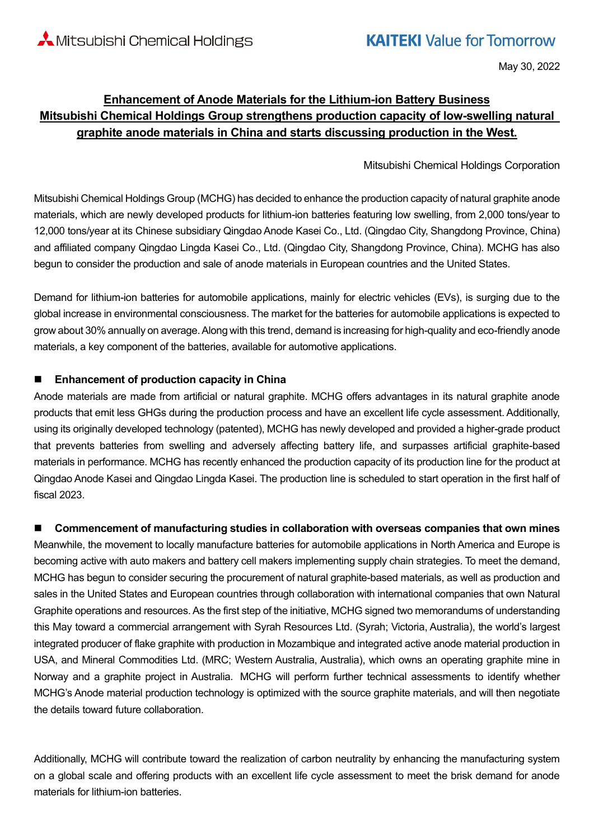May 30, 2022

### **Enhancement of Anode Materials for the Lithium-ion Battery Business Mitsubishi Chemical Holdings Group strengthens production capacity of low-swelling natural graphite anode materials in China and starts discussing production in the West.**

#### Mitsubishi Chemical Holdings Corporation

Mitsubishi Chemical Holdings Group (MCHG) has decided to enhance the production capacity of natural graphite anode materials, which are newly developed products for lithium-ion batteries featuring low swelling, from 2,000 tons/year to 12,000 tons/year at its Chinese subsidiary Qingdao Anode Kasei Co., Ltd. (Qingdao City, Shangdong Province, China) and affiliated company Qingdao Lingda Kasei Co., Ltd. (Qingdao City, Shangdong Province, China). MCHG has also begun to consider the production and sale of anode materials in European countries and the United States.

Demand for lithium-ion batteries for automobile applications, mainly for electric vehicles (EVs), is surging due to the global increase in environmental consciousness. The market for the batteries for automobile applications is expected to grow about 30% annually on average. Along with this trend, demand is increasing for high-quality and eco-friendly anode materials, a key component of the batteries, available for automotive applications.

#### ■ **Enhancement of production capacity in China**

Anode materials are made from artificial or natural graphite. MCHG offers advantages in its natural graphite anode products that emit less GHGs during the production process and have an excellent life cycle assessment. Additionally, using its originally developed technology (patented), MCHG has newly developed and provided a higher-grade product that prevents batteries from swelling and adversely affecting battery life, and surpasses artificial graphite-based materials in performance. MCHG has recently enhanced the production capacity of its production line for the product at Qingdao Anode Kasei and Qingdao Lingda Kasei. The production line is scheduled to start operation in the first half of fiscal 2023.

#### ■ Commencement of manufacturing studies in collaboration with overseas companies that own mines

Meanwhile, the movement to locally manufacture batteries for automobile applications in North America and Europe is becoming active with auto makers and battery cell makers implementing supply chain strategies. To meet the demand, MCHG has begun to consider securing the procurement of natural graphite-based materials, as well as production and sales in the United States and European countries through collaboration with international companies that own Natural Graphite operations and resources. As the first step of the initiative, MCHG signed two memorandums of understanding this May toward a commercial arrangement with Syrah Resources Ltd. (Syrah; Victoria, Australia), the world's largest integrated producer of flake graphite with production in Mozambique and integrated active anode material production in USA, and Mineral Commodities Ltd. (MRC; Western Australia, Australia), which owns an operating graphite mine in Norway and a graphite project in Australia. MCHG will perform further technical assessments to identify whether MCHG's Anode material production technology is optimized with the source graphite materials, and will then negotiate the details toward future collaboration.

Additionally, MCHG will contribute toward the realization of carbon neutrality by enhancing the manufacturing system on a global scale and offering products with an excellent life cycle assessment to meet the brisk demand for anode materials for lithium-ion batteries.